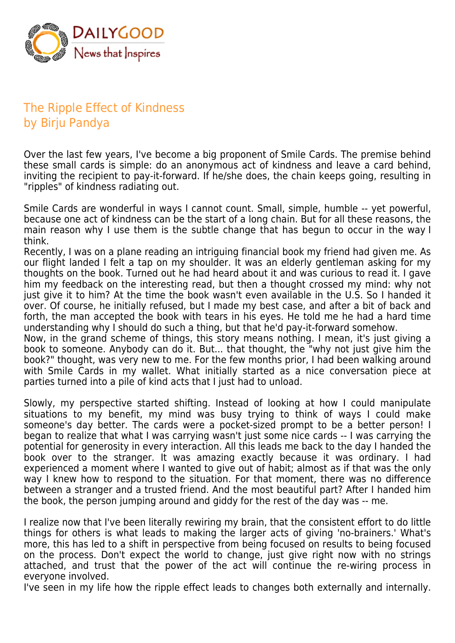

## The Ripple Effect of Kindness by Birju Pandya

Over the last few years, I've become a big proponent of Smile Cards. The premise behind these small cards is simple: do an anonymous act of kindness and leave a card behind, inviting the recipient to pay-it-forward. If he/she does, the chain keeps going, resulting in "ripples" of kindness radiating out.

Smile Cards are wonderful in ways I cannot count. Small, simple, humble -- yet powerful, because one act of kindness can be the start of a long chain. But for all these reasons, the main reason why I use them is the subtle change that has begun to occur in the way I think.

Recently, I was on a plane reading an intriguing financial book my friend had given me. As our flight landed I felt a tap on my shoulder. It was an elderly gentleman asking for my thoughts on the book. Turned out he had heard about it and was curious to read it. I gave him my feedback on the interesting read, but then a thought crossed my mind: why not just give it to him? At the time the book wasn't even available in the U.S. So I handed it over. Of course, he initially refused, but I made my best case, and after a bit of back and forth, the man accepted the book with tears in his eyes. He told me he had a hard time understanding why I should do such a thing, but that he'd pay-it-forward somehow.

Now, in the grand scheme of things, this story means nothing. I mean, it's just giving a book to someone. Anybody can do it. But... that thought, the "why not just give him the book?" thought, was very new to me. For the few months prior, I had been walking around with Smile Cards in my wallet. What initially started as a nice conversation piece at parties turned into a pile of kind acts that I just had to unload.

Slowly, my perspective started shifting. Instead of looking at how I could manipulate situations to my benefit, my mind was busy trying to think of ways I could make someone's day better. The cards were a pocket-sized prompt to be a better person! I began to realize that what I was carrying wasn't just some nice cards -- I was carrying the potential for generosity in every interaction. All this leads me back to the day I handed the book over to the stranger. It was amazing exactly because it was ordinary. I had experienced a moment where I wanted to give out of habit; almost as if that was the only way I knew how to respond to the situation. For that moment, there was no difference between a stranger and a trusted friend. And the most beautiful part? After I handed him the book, the person jumping around and giddy for the rest of the day was -- me.

I realize now that I've been literally rewiring my brain, that the consistent effort to do little things for others is what leads to making the larger acts of giving 'no-brainers.' What's more, this has led to a shift in perspective from being focused on results to being focused on the process. Don't expect the world to change, just give right now with no strings attached, and trust that the power of the act will continue the re-wiring process in everyone involved.

I've seen in my life how the ripple effect leads to changes both externally and internally.